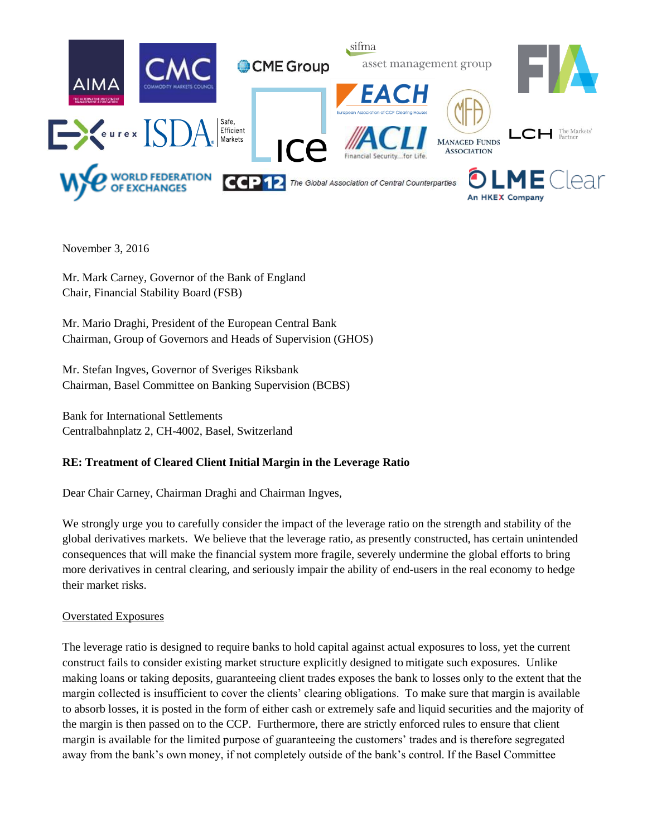

November 3, 2016

Mr. Mark Carney, Governor of the Bank of England Chair, Financial Stability Board (FSB)

Mr. Mario Draghi, President of the European Central Bank Chairman, Group of Governors and Heads of Supervision (GHOS)

Mr. Stefan Ingves, Governor of Sveriges Riksbank Chairman, Basel Committee on Banking Supervision (BCBS)

Bank for International Settlements Centralbahnplatz 2, CH-4002, Basel, Switzerland

# **RE: Treatment of Cleared Client Initial Margin in the Leverage Ratio**

Dear Chair Carney, Chairman Draghi and Chairman Ingves,

We strongly urge you to carefully consider the impact of the leverage ratio on the strength and stability of the global derivatives markets. We believe that the leverage ratio, as presently constructed, has certain unintended consequences that will make the financial system more fragile, severely undermine the global efforts to bring more derivatives in central clearing, and seriously impair the ability of end-users in the real economy to hedge their market risks.

## Overstated Exposures

The leverage ratio is designed to require banks to hold capital against actual exposures to loss, yet the current construct fails to consider existing market structure explicitly designed to mitigate such exposures. Unlike making loans or taking deposits, guaranteeing client trades exposes the bank to losses only to the extent that the margin collected is insufficient to cover the clients' clearing obligations. To make sure that margin is available to absorb losses, it is posted in the form of either cash or extremely safe and liquid securities and the majority of the margin is then passed on to the CCP. Furthermore, there are strictly enforced rules to ensure that client margin is available for the limited purpose of guaranteeing the customers' trades and is therefore segregated away from the bank's own money, if not completely outside of the bank's control. If the Basel Committee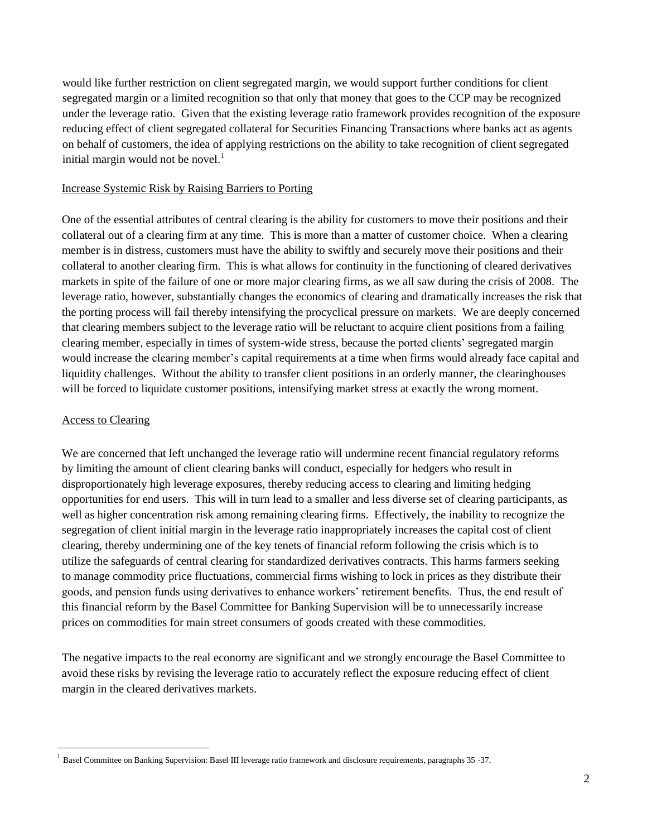would like further restriction on client segregated margin, we would support further conditions for client segregated margin or a limited recognition so that only that money that goes to the CCP may be recognized under the leverage ratio. Given that the existing leverage ratio framework provides recognition of the exposure reducing effect of client segregated collateral for Securities Financing Transactions where banks act as agents on behalf of customers, the idea of applying restrictions on the ability to take recognition of client segregated initial margin would not be novel. $<sup>1</sup>$ </sup>

# Increase Systemic Risk by Raising Barriers to Porting

One of the essential attributes of central clearing is the ability for customers to move their positions and their collateral out of a clearing firm at any time. This is more than a matter of customer choice. When a clearing member is in distress, customers must have the ability to swiftly and securely move their positions and their collateral to another clearing firm. This is what allows for continuity in the functioning of cleared derivatives markets in spite of the failure of one or more major clearing firms, as we all saw during the crisis of 2008. The leverage ratio, however, substantially changes the economics of clearing and dramatically increases the risk that the porting process will fail thereby intensifying the procyclical pressure on markets. We are deeply concerned that clearing members subject to the leverage ratio will be reluctant to acquire client positions from a failing clearing member, especially in times of system-wide stress, because the ported clients' segregated margin would increase the clearing member's capital requirements at a time when firms would already face capital and liquidity challenges. Without the ability to transfer client positions in an orderly manner, the clearinghouses will be forced to liquidate customer positions, intensifying market stress at exactly the wrong moment.

## Access to Clearing

 $\overline{a}$ 

We are concerned that left unchanged the leverage ratio will undermine recent financial regulatory reforms by limiting the amount of client clearing banks will conduct, especially for hedgers who result in disproportionately high leverage exposures, thereby reducing access to clearing and limiting hedging opportunities for end users. This will in turn lead to a smaller and less diverse set of clearing participants, as well as higher concentration risk among remaining clearing firms. Effectively, the inability to recognize the segregation of client initial margin in the leverage ratio inappropriately increases the capital cost of client clearing, thereby undermining one of the key tenets of financial reform following the crisis which is to utilize the safeguards of central clearing for standardized derivatives contracts. This harms farmers seeking to manage commodity price fluctuations, commercial firms wishing to lock in prices as they distribute their goods, and pension funds using derivatives to enhance workers' retirement benefits. Thus, the end result of this financial reform by the Basel Committee for Banking Supervision will be to unnecessarily increase prices on commodities for main street consumers of goods created with these commodities.

The negative impacts to the real economy are significant and we strongly encourage the Basel Committee to avoid these risks by revising the leverage ratio to accurately reflect the exposure reducing effect of client margin in the cleared derivatives markets.

<sup>1</sup> Basel Committee on Banking Supervision: Basel III leverage ratio framework and disclosure requirements, paragraphs 35 -37.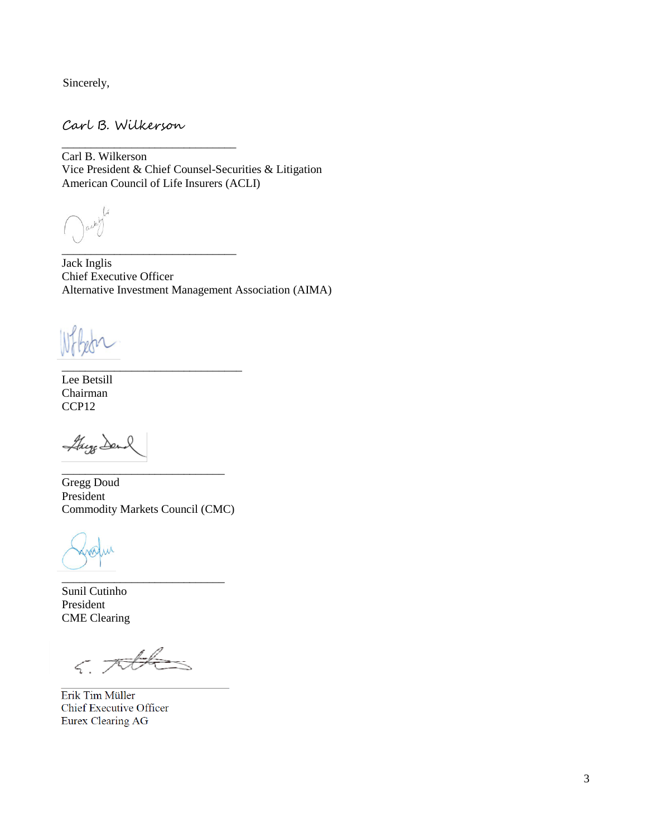Sincerely,

Carl B. Wilkerson

\_\_\_\_\_\_\_\_\_\_\_\_\_\_\_\_\_\_\_\_\_\_\_\_\_\_\_\_\_\_

\_\_\_\_\_\_\_\_\_\_\_\_\_\_\_\_\_\_\_\_\_\_\_\_\_\_\_\_\_\_

\_\_\_\_\_\_\_\_\_\_\_\_\_\_\_\_\_\_\_\_\_\_\_\_\_\_\_\_\_\_\_

Carl B. Wilkerson Vice President & Chief Counsel-Securities & Litigation American Council of Life Insurers (ACLI)

 $\mathcal{A}$ 

Jack Inglis Chief Executive Officer Alternative Investment Management Association (AIMA)

Lee Betsill Chairman CCP<sub>12</sub>

They Dend

Gregg Doud President Commodity Markets Council (CMC)

\_\_\_\_\_\_\_\_\_\_\_\_\_\_\_\_\_\_\_\_\_\_\_\_\_\_\_\_

\_\_\_\_\_\_\_\_\_\_\_\_\_\_\_\_\_\_\_\_\_\_\_\_\_\_\_\_

Sunil Cutinho President CME Clearing

 $6.706$ 

Erik Tim Müller Chief Executive Officer Eurex Clearing AG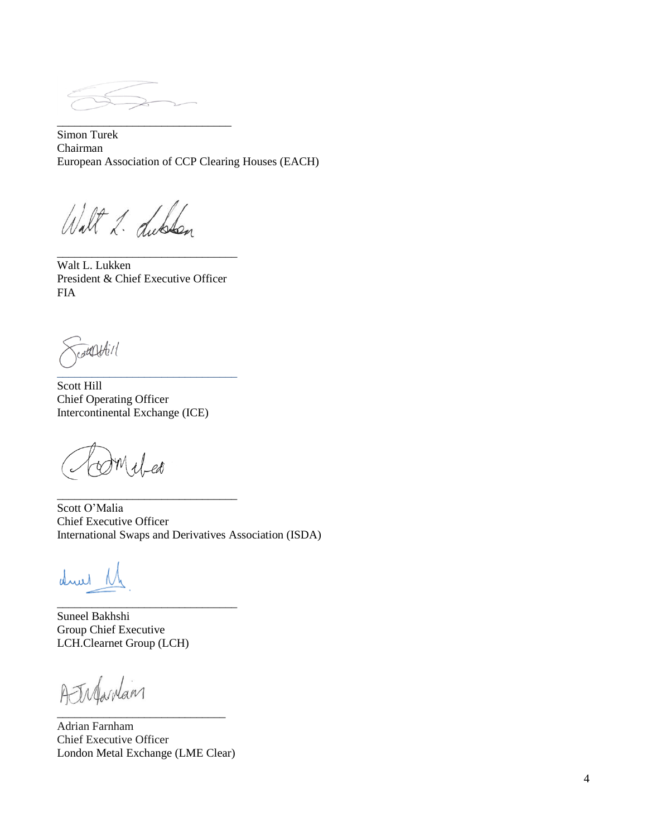\_\_\_\_\_\_\_\_\_\_\_\_\_\_\_\_\_\_\_\_\_\_\_\_\_\_\_\_\_\_

Simon Turek Chairman European Association of CCP Clearing Houses (EACH)

Walt 2. dublen

Walt L. Lukken President & Chief Executive Officer FIA

\_\_\_\_\_\_\_\_\_\_\_\_\_\_\_\_\_\_\_\_\_\_\_\_\_\_\_\_\_\_\_

contentil \_\_\_\_\_\_\_\_\_\_\_\_\_\_\_\_\_\_\_\_\_\_\_\_\_\_\_\_\_\_\_

Scott Hill Chief Operating Officer Intercontinental Exchange (ICE)

\_\_\_\_\_\_\_\_\_\_\_\_\_\_\_\_\_\_\_\_\_\_\_\_\_\_\_\_\_\_\_

\_\_\_\_\_\_\_\_\_\_\_\_\_\_\_\_\_\_\_\_\_\_\_\_\_\_\_\_\_\_\_

 $U$ -eo

Scott O'Malia Chief Executive Officer International Swaps and Derivatives Association (ISDA)

drul

Suneel Bakhshi Group Chief Executive LCH.Clearnet Group (LCH)

Atrifardam \_\_\_\_\_\_\_\_\_\_\_\_\_\_\_\_\_\_\_\_\_\_\_\_\_\_\_\_\_

Adrian Farnham Chief Executive Officer London Metal Exchange (LME Clear)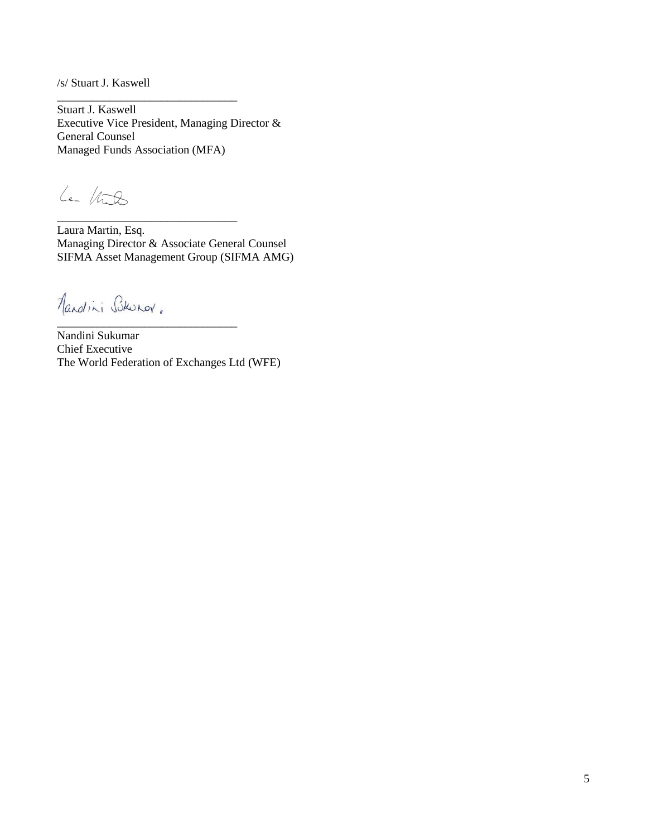/s/ Stuart J. Kaswell

Stuart J. Kaswell Executive Vice President, Managing Director & General Counsel Managed Funds Association (MFA)

\_\_\_\_\_\_\_\_\_\_\_\_\_\_\_\_\_\_\_\_\_\_\_\_\_\_\_\_\_\_\_

\_\_\_\_\_\_\_\_\_\_\_\_\_\_\_\_\_\_\_\_\_\_\_\_\_\_\_\_\_\_\_

La Vilo

Laura Martin, Esq. Managing Director & Associate General Counsel SIFMA Asset Management Group (SIFMA AMG)

Mandini Burov. \_\_\_\_\_\_\_\_\_\_\_\_\_\_\_\_\_\_\_\_\_\_\_\_\_\_\_\_\_\_\_

Nandini Sukumar Chief Executive The World Federation of Exchanges Ltd (WFE)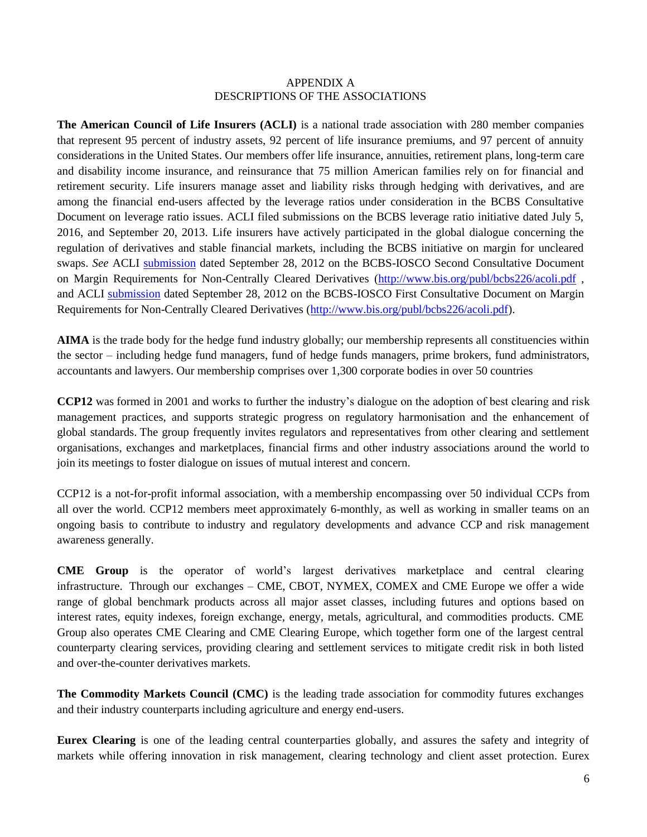#### APPENDIX A DESCRIPTIONS OF THE ASSOCIATIONS

**The American Council of Life Insurers (ACLI)** is a national trade association with 280 member companies that represent 95 percent of industry assets, 92 percent of life insurance premiums, and 97 percent of annuity considerations in the United States. Our members offer life insurance, annuities, retirement plans, long-term care and disability income insurance, and reinsurance that 75 million American families rely on for financial and retirement security. Life insurers manage asset and liability risks through hedging with derivatives, and are among the financial end-users affected by the leverage ratios under consideration in the BCBS Consultative Document on leverage ratio issues. ACLI filed submissions on the BCBS leverage ratio initiative dated July 5, 2016, and September 20, 2013. Life insurers have actively participated in the global dialogue concerning the regulation of derivatives and stable financial markets, including the BCBS initiative on margin for uncleared swaps. *See* ACLI [submission](http://www.bis.org/publ/bcbs226/acoli.pdf) dated September 28, 2012 on the BCBS-IOSCO Second Consultative Document on Margin Requirements for Non-Centrally Cleared Derivatives [\(http://www.bis.org/publ/bcbs226/acoli.pdf](http://www.bis.org/publ/bcbs226/acoli.pdf), and ACLI [submission](http://www.bis.org/publ/bcbs226/acoli.pdf) dated September 28, 2012 on the BCBS-IOSCO First Consultative Document on Margin Requirements for Non-Centrally Cleared Derivatives [\(http://www.bis.org/publ/bcbs226/acoli.pdf\)](http://www.bis.org/publ/bcbs226/acoli.pdf).

**AIMA** is the trade body for the hedge fund industry globally; our membership represents all constituencies within the sector – including hedge fund managers, fund of hedge funds managers, prime brokers, fund administrators, accountants and lawyers. Our membership comprises over 1,300 corporate bodies in over 50 countries

**CCP12** was formed in 2001 and works to further the industry's dialogue on the adoption of best clearing and risk management practices, and supports strategic progress on regulatory harmonisation and the enhancement of global standards. The group frequently invites regulators and representatives from other clearing and settlement organisations, exchanges and marketplaces, financial firms and other industry associations around the world to join its meetings to foster dialogue on issues of mutual interest and concern.

CCP12 is a not-for-profit informal association, with a membership encompassing over 50 individual CCPs from all over the world. CCP12 members meet approximately 6-monthly, as well as working in smaller teams on an ongoing basis to contribute to industry and regulatory developments and advance CCP and risk management awareness generally.

**CME Group** is the operator of world's largest derivatives marketplace and central clearing infrastructure. Through our exchanges – CME, CBOT, NYMEX, COMEX and CME Europe we offer a wide range of global benchmark products across all major asset classes, including futures and options based on interest rates, equity indexes, foreign exchange, energy, metals, agricultural, and commodities products. CME Group also operates CME Clearing and CME Clearing Europe, which together form one of the largest central counterparty clearing services, providing clearing and settlement services to mitigate credit risk in both listed and over-the-counter derivatives markets.

**The Commodity Markets Council (CMC)** is the leading trade association for commodity futures exchanges and their industry counterparts including agriculture and energy end-users.

**Eurex Clearing** is one of the leading central counterparties globally, and assures the safety and integrity of markets while offering innovation in risk management, clearing technology and client asset protection. Eurex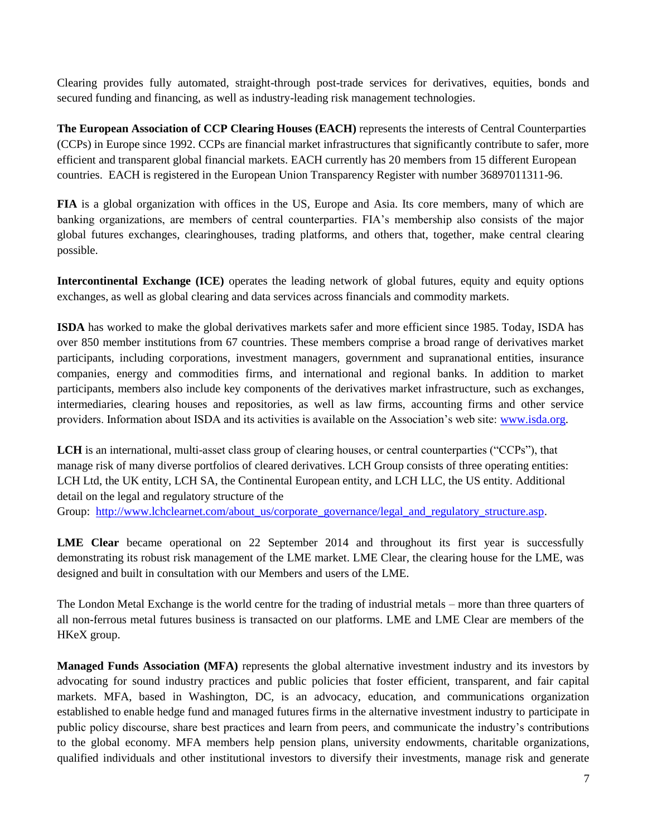Clearing provides fully automated, straight-through post-trade services for derivatives, equities, bonds and secured funding and financing, as well as industry-leading risk management technologies.

**The European Association of CCP Clearing Houses (EACH)** represents the interests of Central Counterparties (CCPs) in Europe since 1992. CCPs are financial market infrastructures that significantly contribute to safer, more efficient and transparent global financial markets. EACH currently has 20 members from 15 different European countries. EACH is registered in the European Union Transparency Register with number 36897011311-96.

**FIA** is a global organization with offices in the US, Europe and Asia. Its core members, many of which are banking organizations, are members of central counterparties. FIA's membership also consists of the major global futures exchanges, clearinghouses, trading platforms, and others that, together, make central clearing possible.

**Intercontinental Exchange (ICE)** operates the leading network of global futures, equity and equity options exchanges, as well as global clearing and data services across financials and commodity markets.

**ISDA** has worked to make the global derivatives markets safer and more efficient since 1985. Today, ISDA has over 850 member institutions from 67 countries. These members comprise a broad range of derivatives market participants, including corporations, investment managers, government and supranational entities, insurance companies, energy and commodities firms, and international and regional banks. In addition to market participants, members also include key components of the derivatives market infrastructure, such as exchanges, intermediaries, clearing houses and repositories, as well as law firms, accounting firms and other service providers. Information about ISDA and its activities is available on the Association's web site: [www.isda.org.](http://www.isda.org/)

**LCH** is an international, multi-asset class group of clearing houses, or central counterparties ("CCPs"), that manage risk of many diverse portfolios of cleared derivatives. LCH Group consists of three operating entities: LCH Ltd, the UK entity, LCH SA, the Continental European entity, and LCH LLC, the US entity. Additional detail on the legal and regulatory structure of the Group: [http://www.lchclearnet.com/about\\_us/corporate\\_governance/legal\\_and\\_regulatory\\_structure.asp.](http://www.lchclearnet.com/about_us/corporate_governance/legal_and_regulatory_structure.asp)

**LME Clear** became operational on 22 September 2014 and throughout its first year is successfully demonstrating its robust risk management of the LME market. LME Clear, the clearing house for the LME, was designed and built in consultation with our Members and users of the LME.

The London Metal Exchange is the world centre for the trading of industrial metals – more than three quarters of all non-ferrous metal futures business is transacted on our platforms. LME and LME Clear are members of the HKeX group.

**Managed Funds Association (MFA)** represents the global alternative investment industry and its investors by advocating for sound industry practices and public policies that foster efficient, transparent, and fair capital markets. MFA, based in Washington, DC, is an advocacy, education, and communications organization established to enable hedge fund and managed futures firms in the alternative investment industry to participate in public policy discourse, share best practices and learn from peers, and communicate the industry's contributions to the global economy. MFA members help pension plans, university endowments, charitable organizations, qualified individuals and other institutional investors to diversify their investments, manage risk and generate